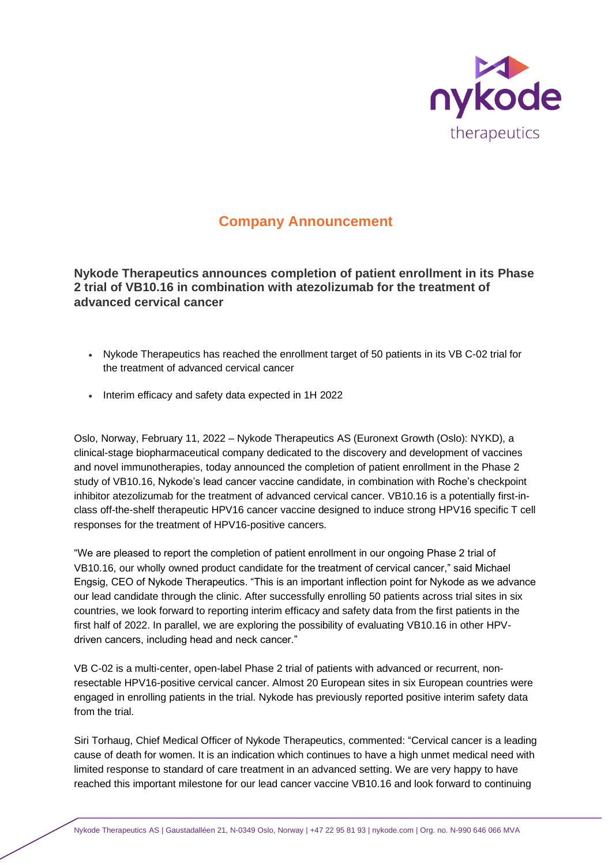

# **Company Announcement**

**Nykode Therapeutics announces completion of patient enrollment in its Phase 2 trial of VB10.16 in combination with atezolizumab for the treatment of advanced cervical cancer**

- Nykode Therapeutics has reached the enrollment target of 50 patients in its VB C-02 trial for the treatment of advanced cervical cancer
- Interim efficacy and safety data expected in 1H 2022

Oslo, Norway, February 11, 2022 – Nykode Therapeutics AS (Euronext Growth (Oslo): NYKD), a clinical-stage biopharmaceutical company dedicated to the discovery and development of vaccines and novel immunotherapies, today announced the completion of patient enrollment in the Phase 2 study of VB10.16, Nykode's lead cancer vaccine candidate, in combination with Roche's checkpoint inhibitor atezolizumab for the treatment of advanced cervical cancer. VB10.16 is a potentially first-inclass off-the-shelf therapeutic HPV16 cancer vaccine designed to induce strong HPV16 specific T cell responses for the treatment of HPV16-positive cancers.

"We are pleased to report the completion of patient enrollment in our ongoing Phase 2 trial of VB10.16, our wholly owned product candidate for the treatment of cervical cancer," said Michael Engsig, CEO of Nykode Therapeutics. "This is an important inflection point for Nykode as we advance our lead candidate through the clinic. After successfully enrolling 50 patients across trial sites in six countries, we look forward to reporting interim efficacy and safety data from the first patients in the first half of 2022. In parallel, we are exploring the possibility of evaluating VB10.16 in other HPVdriven cancers, including head and neck cancer."

VB C-02 is a multi-center, open-label Phase 2 trial of patients with advanced or recurrent, nonresectable HPV16-positive cervical cancer. Almost 20 European sites in six European countries were engaged in enrolling patients in the trial. Nykode has previously reported positive interim safety data from the trial.

Siri Torhaug, Chief Medical Officer of Nykode Therapeutics, commented: "Cervical cancer is a leading cause of death for women. It is an indication which continues to have a high unmet medical need with limited response to standard of care treatment in an advanced setting. We are very happy to have reached this important milestone for our lead cancer vaccine VB10.16 and look forward to continuing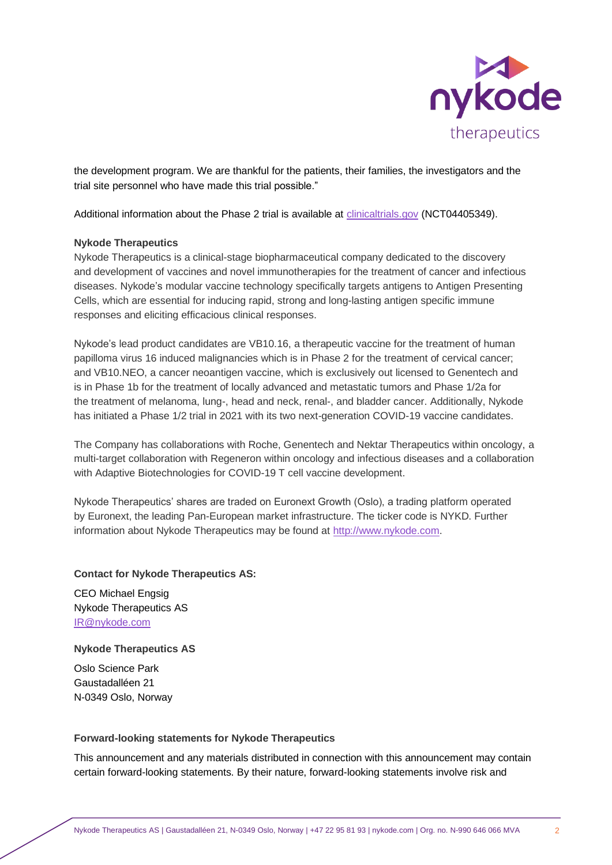

the development program. We are thankful for the patients, their families, the investigators and the trial site personnel who have made this trial possible."

Additional information about the Phase 2 trial is available at *clinicaltrials.gov* (NCT04405349).

## **Nykode Therapeutics**

Nykode Therapeutics is a clinical-stage biopharmaceutical company dedicated to the discovery and development of vaccines and novel immunotherapies for the treatment of cancer and infectious diseases. Nykode's modular vaccine technology specifically targets antigens to Antigen Presenting Cells, which are essential for inducing rapid, strong and long-lasting antigen specific immune responses and eliciting efficacious clinical responses.

Nykode's lead product candidates are VB10.16, a therapeutic vaccine for the treatment of human papilloma virus 16 induced malignancies which is in Phase 2 for the treatment of cervical cancer; and VB10.NEO, a cancer neoantigen vaccine, which is exclusively out licensed to Genentech and is in Phase 1b for the treatment of locally advanced and metastatic tumors and Phase 1/2a for the treatment of melanoma, lung-, head and neck, renal-, and bladder cancer. Additionally, Nykode has initiated a Phase 1/2 trial in 2021 with its two next-generation COVID-19 vaccine candidates.

The Company has collaborations with Roche, Genentech and Nektar Therapeutics within oncology, a multi-target collaboration with Regeneron within oncology and infectious diseases and a collaboration with Adaptive Biotechnologies for COVID-19 T cell vaccine development.

Nykode Therapeutics' shares are traded on Euronext Growth (Oslo), a trading platform operated by Euronext, the leading Pan-European market infrastructure. The ticker code is NYKD. Further information about Nykode Therapeutics may be found at [http://www.nykode.com.](http://www.nykode.com/)

### **Contact for Nykode Therapeutics AS:**

CEO Michael Engsig Nykode Therapeutics AS IR@nykode.com

### **Nykode Therapeutics AS**

Oslo Science Park Gaustadalléen 21 N-0349 Oslo, Norway

### **Forward-looking statements for Nykode Therapeutics**

This announcement and any materials distributed in connection with this announcement may contain certain forward-looking statements. By their nature, forward-looking statements involve risk and